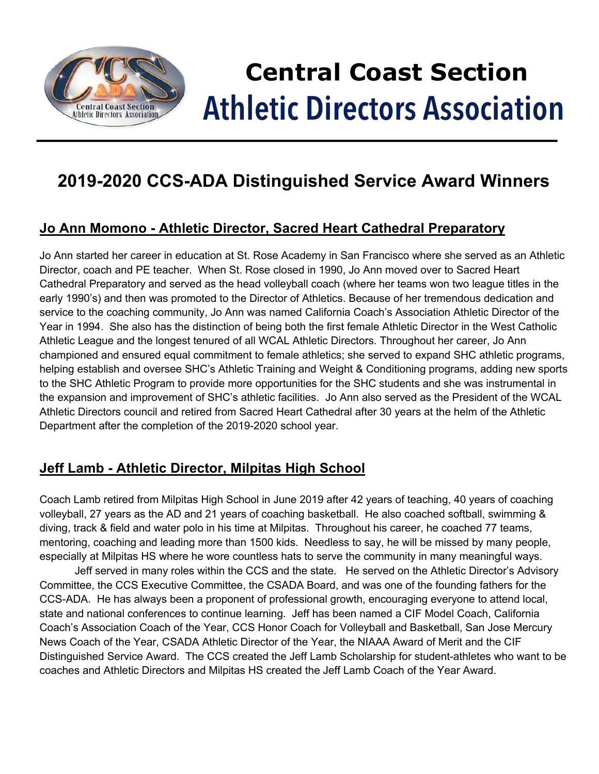

# **Central Coast Section Athletic Directors Association**

## **2019-2020 CCS-ADA Distinguished Service Award Winners**

### **Jo Ann Momono - Athletic Director, Sacred Heart Cathedral Preparatory**

Jo Ann started her career in education at St. Rose Academy in San Francisco where she served as an Athletic Director, coach and PE teacher. When St. Rose closed in 1990, Jo Ann moved over to Sacred Heart Cathedral Preparatory and served as the head volleyball coach (where her teams won two league titles in the early 1990's) and then was promoted to the Director of Athletics. Because of her tremendous dedication and service to the coaching community, Jo Ann was named California Coach's Association Athletic Director of the Year in 1994. She also has the distinction of being both the first female Athletic Director in the West Catholic Athletic League and the longest tenured of all WCAL Athletic Directors. Throughout her career, Jo Ann championed and ensured equal commitment to female athletics; she served to expand SHC athletic programs, helping establish and oversee SHC's Athletic Training and Weight & Conditioning programs, adding new sports to the SHC Athletic Program to provide more opportunities for the SHC students and she was instrumental in the expansion and improvement of SHC's athletic facilities. Jo Ann also served as the President of the WCAL Athletic Directors council and retired from Sacred Heart Cathedral after 30 years at the helm of the Athletic Department after the completion of the 2019-2020 school year.

### **Jeff Lamb - Athletic Director, Milpitas High School**

Coach Lamb retired from Milpitas High School in June 2019 after 42 years of teaching, 40 years of coaching volleyball, 27 years as the AD and 21 years of coaching basketball. He also coached softball, swimming & diving, track & field and water polo in his time at Milpitas. Throughout his career, he coached 77 teams, mentoring, coaching and leading more than 1500 kids. Needless to say, he will be missed by many people, especially at Milpitas HS where he wore countless hats to serve the community in many meaningful ways.

Jeff served in many roles within the CCS and the state. He served on the Athletic Director's Advisory Committee, the CCS Executive Committee, the CSADA Board, and was one of the founding fathers for the CCS-ADA. He has always been a proponent of professional growth, encouraging everyone to attend local, state and national conferences to continue learning. Jeff has been named a CIF Model Coach, California Coach's Association Coach of the Year, CCS Honor Coach for Volleyball and Basketball, San Jose Mercury News Coach of the Year, CSADA Athletic Director of the Year, the NIAAA Award of Merit and the CIF Distinguished Service Award. The CCS created the Jeff Lamb Scholarship for student-athletes who want to be coaches and Athletic Directors and Milpitas HS created the Jeff Lamb Coach of the Year Award.